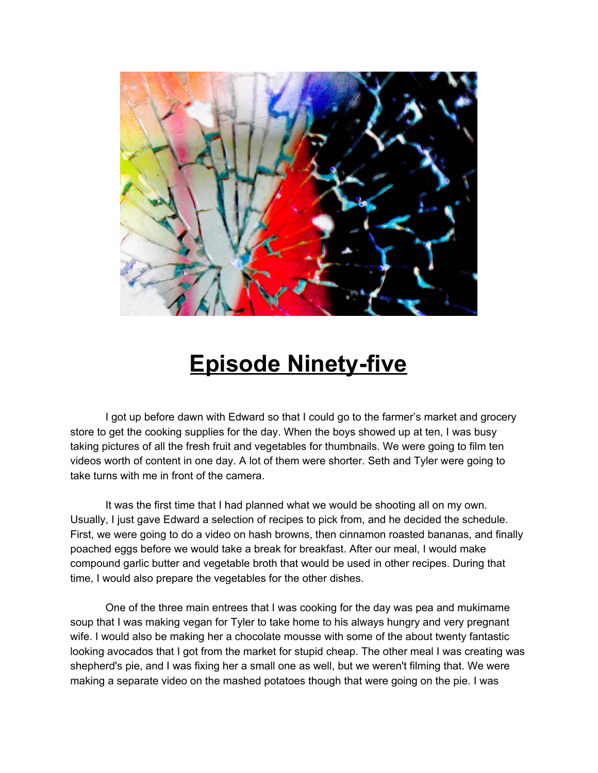

## **Episode Ninety-five**

I got up before dawn with Edward so that I could go to the farmer's market and grocery store to get the cooking supplies for the day. When the boys showed up at ten, I was busy taking pictures of all the fresh fruit and vegetables for thumbnails. We were going to film ten videos worth of content in one day. A lot of them were shorter. Seth and Tyler were going to take turns with me in front of the camera.

It was the first time that I had planned what we would be shooting all on my own. Usually, I just gave Edward a selection of recipes to pick from, and he decided the schedule. First, we were going to do a video on hash browns, then cinnamon roasted bananas, and finally poached eggs before we would take a break for breakfast. After our meal, I would make compound garlic butter and vegetable broth that would be used in other recipes. During that time, I would also prepare the vegetables for the other dishes.

One of the three main entrees that I was cooking for the day was pea and mukimame soup that I was making vegan for Tyler to take home to his always hungry and very pregnant wife. I would also be making her a chocolate mousse with some of the about twenty fantastic looking avocados that I got from the market for stupid cheap. The other meal I was creating was shepherd's pie, and I was fixing her a small one as well, but we weren't filming that. We were making a separate video on the mashed potatoes though that were going on the pie. I was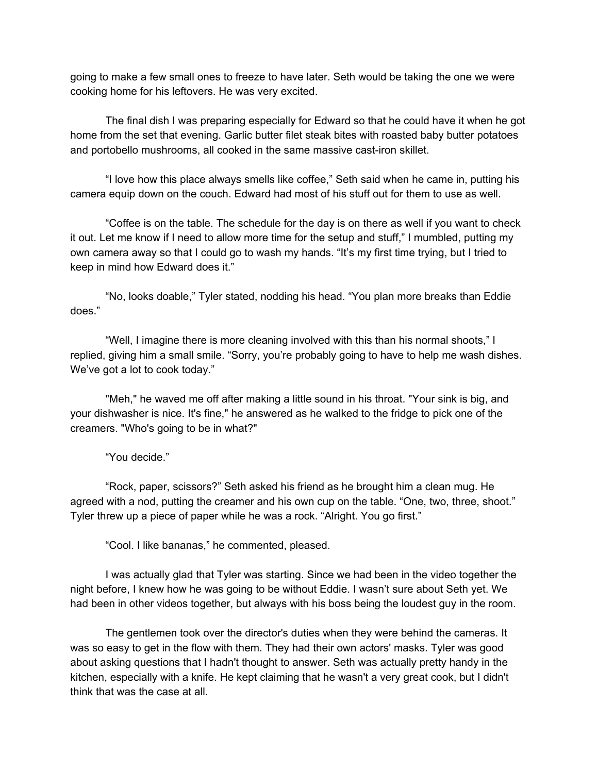going to make a few small ones to freeze to have later. Seth would be taking the one we were cooking home for his leftovers. He was very excited.

The final dish I was preparing especially for Edward so that he could have it when he got home from the set that evening. Garlic butter filet steak bites with roasted baby butter potatoes and portobello mushrooms, all cooked in the same massive cast-iron skillet.

"I love how this place always smells like coffee," Seth said when he came in, putting his camera equip down on the couch. Edward had most of his stuff out for them to use as well.

"Coffee is on the table. The schedule for the day is on there as well if you want to check it out. Let me know if I need to allow more time for the setup and stuff," I mumbled, putting my own camera away so that I could go to wash my hands. "It's my first time trying, but I tried to keep in mind how Edward does it."

"No, looks doable," Tyler stated, nodding his head. "You plan more breaks than Eddie does."

"Well, I imagine there is more cleaning involved with this than his normal shoots," I replied, giving him a small smile. "Sorry, you're probably going to have to help me wash dishes. We've got a lot to cook today."

"Meh," he waved me off after making a little sound in his throat. "Your sink is big, and your dishwasher is nice. It's fine," he answered as he walked to the fridge to pick one of the creamers. "Who's going to be in what?"

"You decide."

"Rock, paper, scissors?" Seth asked his friend as he brought him a clean mug. He agreed with a nod, putting the creamer and his own cup on the table. "One, two, three, shoot." Tyler threw up a piece of paper while he was a rock. "Alright. You go first."

"Cool. I like bananas," he commented, pleased.

I was actually glad that Tyler was starting. Since we had been in the video together the night before, I knew how he was going to be without Eddie. I wasn't sure about Seth yet. We had been in other videos together, but always with his boss being the loudest guy in the room.

The gentlemen took over the director's duties when they were behind the cameras. It was so easy to get in the flow with them. They had their own actors' masks. Tyler was good about asking questions that I hadn't thought to answer. Seth was actually pretty handy in the kitchen, especially with a knife. He kept claiming that he wasn't a very great cook, but I didn't think that was the case at all.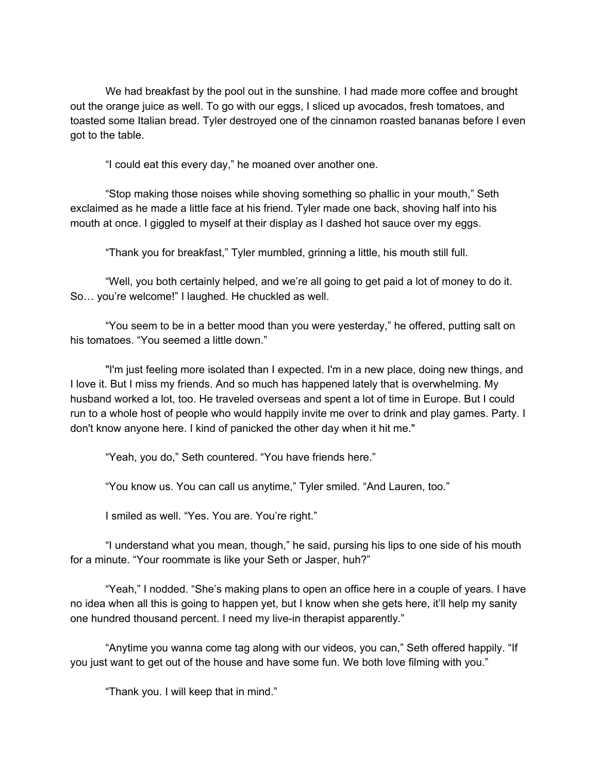We had breakfast by the pool out in the sunshine. I had made more coffee and brought out the orange juice as well. To go with our eggs, I sliced up avocados, fresh tomatoes, and toasted some Italian bread. Tyler destroyed one of the cinnamon roasted bananas before I even got to the table.

"I could eat this every day," he moaned over another one.

"Stop making those noises while shoving something so phallic in your mouth," Seth exclaimed as he made a little face at his friend. Tyler made one back, shoving half into his mouth at once. I giggled to myself at their display as I dashed hot sauce over my eggs.

"Thank you for breakfast," Tyler mumbled, grinning a little, his mouth still full.

"Well, you both certainly helped, and we're all going to get paid a lot of money to do it. So… you're welcome!" I laughed. He chuckled as well.

"You seem to be in a better mood than you were yesterday," he offered, putting salt on his tomatoes. "You seemed a little down."

"I'm just feeling more isolated than I expected. I'm in a new place, doing new things, and I love it. But I miss my friends. And so much has happened lately that is overwhelming. My husband worked a lot, too. He traveled overseas and spent a lot of time in Europe. But I could run to a whole host of people who would happily invite me over to drink and play games. Party. I don't know anyone here. I kind of panicked the other day when it hit me."

"Yeah, you do," Seth countered. "You have friends here."

"You know us. You can call us anytime," Tyler smiled. "And Lauren, too."

I smiled as well. "Yes. You are. You're right."

"I understand what you mean, though," he said, pursing his lips to one side of his mouth for a minute. "Your roommate is like your Seth or Jasper, huh?"

"Yeah," I nodded. "She's making plans to open an office here in a couple of years. I have no idea when all this is going to happen yet, but I know when she gets here, it'll help my sanity one hundred thousand percent. I need my live-in therapist apparently."

"Anytime you wanna come tag along with our videos, you can," Seth offered happily. "If you just want to get out of the house and have some fun. We both love filming with you."

"Thank you. I will keep that in mind."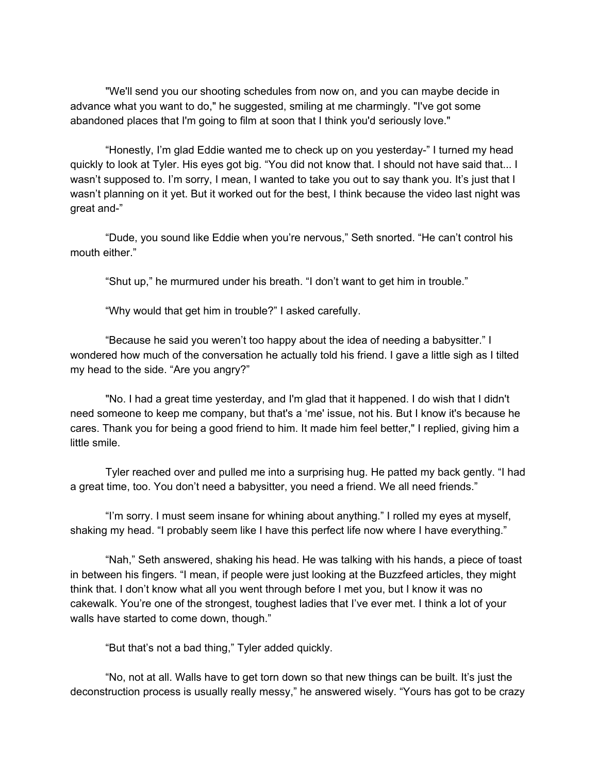"We'll send you our shooting schedules from now on, and you can maybe decide in advance what you want to do," he suggested, smiling at me charmingly. "I've got some abandoned places that I'm going to film at soon that I think you'd seriously love."

"Honestly, I'm glad Eddie wanted me to check up on you yesterday-" I turned my head quickly to look at Tyler. His eyes got big. "You did not know that. I should not have said that... I wasn't supposed to. I'm sorry, I mean, I wanted to take you out to say thank you. It's just that I wasn't planning on it yet. But it worked out for the best, I think because the video last night was great and-"

"Dude, you sound like Eddie when you're nervous," Seth snorted. "He can't control his mouth either."

"Shut up," he murmured under his breath. "I don't want to get him in trouble."

"Why would that get him in trouble?" I asked carefully.

"Because he said you weren't too happy about the idea of needing a babysitter." I wondered how much of the conversation he actually told his friend. I gave a little sigh as I tilted my head to the side. "Are you angry?"

"No. I had a great time yesterday, and I'm glad that it happened. I do wish that I didn't need someone to keep me company, but that's a 'me' issue, not his. But I know it's because he cares. Thank you for being a good friend to him. It made him feel better," I replied, giving him a little smile.

Tyler reached over and pulled me into a surprising hug. He patted my back gently. "I had a great time, too. You don't need a babysitter, you need a friend. We all need friends."

"I'm sorry. I must seem insane for whining about anything." I rolled my eyes at myself, shaking my head. "I probably seem like I have this perfect life now where I have everything."

"Nah," Seth answered, shaking his head. He was talking with his hands, a piece of toast in between his fingers. "I mean, if people were just looking at the Buzzfeed articles, they might think that. I don't know what all you went through before I met you, but I know it was no cakewalk. You're one of the strongest, toughest ladies that I've ever met. I think a lot of your walls have started to come down, though."

"But that's not a bad thing," Tyler added quickly.

"No, not at all. Walls have to get torn down so that new things can be built. It's just the deconstruction process is usually really messy," he answered wisely. "Yours has got to be crazy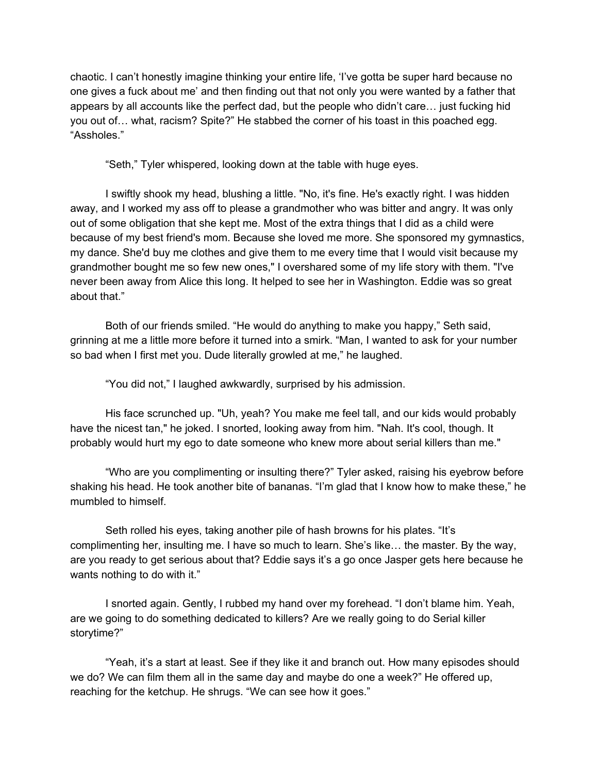chaotic. I can't honestly imagine thinking your entire life, 'I've gotta be super hard because no one gives a fuck about me' and then finding out that not only you were wanted by a father that appears by all accounts like the perfect dad, but the people who didn't care… just fucking hid you out of… what, racism? Spite?" He stabbed the corner of his toast in this poached egg. "Assholes."

"Seth," Tyler whispered, looking down at the table with huge eyes.

I swiftly shook my head, blushing a little. "No, it's fine. He's exactly right. I was hidden away, and I worked my ass off to please a grandmother who was bitter and angry. It was only out of some obligation that she kept me. Most of the extra things that I did as a child were because of my best friend's mom. Because she loved me more. She sponsored my gymnastics, my dance. She'd buy me clothes and give them to me every time that I would visit because my grandmother bought me so few new ones," I overshared some of my life story with them. "I've never been away from Alice this long. It helped to see her in Washington. Eddie was so great about that."

Both of our friends smiled. "He would do anything to make you happy," Seth said, grinning at me a little more before it turned into a smirk. "Man, I wanted to ask for your number so bad when I first met you. Dude literally growled at me," he laughed.

"You did not," I laughed awkwardly, surprised by his admission.

His face scrunched up. "Uh, yeah? You make me feel tall, and our kids would probably have the nicest tan," he joked. I snorted, looking away from him. "Nah. It's cool, though. It probably would hurt my ego to date someone who knew more about serial killers than me."

"Who are you complimenting or insulting there?" Tyler asked, raising his eyebrow before shaking his head. He took another bite of bananas. "I'm glad that I know how to make these," he mumbled to himself.

Seth rolled his eyes, taking another pile of hash browns for his plates. "It's complimenting her, insulting me. I have so much to learn. She's like… the master. By the way, are you ready to get serious about that? Eddie says it's a go once Jasper gets here because he wants nothing to do with it."

I snorted again. Gently, I rubbed my hand over my forehead. "I don't blame him. Yeah, are we going to do something dedicated to killers? Are we really going to do Serial killer storytime?"

"Yeah, it's a start at least. See if they like it and branch out. How many episodes should we do? We can film them all in the same day and maybe do one a week?" He offered up, reaching for the ketchup. He shrugs. "We can see how it goes."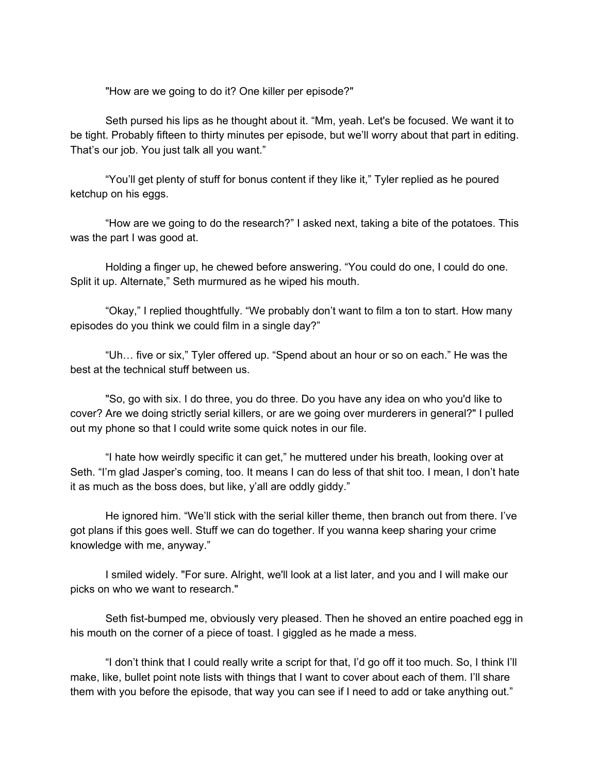"How are we going to do it? One killer per episode?"

Seth pursed his lips as he thought about it. "Mm, yeah. Let's be focused. We want it to be tight. Probably fifteen to thirty minutes per episode, but we'll worry about that part in editing. That's our job. You just talk all you want."

"You'll get plenty of stuff for bonus content if they like it," Tyler replied as he poured ketchup on his eggs.

"How are we going to do the research?" I asked next, taking a bite of the potatoes. This was the part I was good at.

Holding a finger up, he chewed before answering. "You could do one, I could do one. Split it up. Alternate," Seth murmured as he wiped his mouth.

"Okay," I replied thoughtfully. "We probably don't want to film a ton to start. How many episodes do you think we could film in a single day?"

"Uh… five or six," Tyler offered up. "Spend about an hour or so on each." He was the best at the technical stuff between us.

"So, go with six. I do three, you do three. Do you have any idea on who you'd like to cover? Are we doing strictly serial killers, or are we going over murderers in general?" I pulled out my phone so that I could write some quick notes in our file.

"I hate how weirdly specific it can get," he muttered under his breath, looking over at Seth. "I'm glad Jasper's coming, too. It means I can do less of that shit too. I mean, I don't hate it as much as the boss does, but like, y'all are oddly giddy."

He ignored him. "We'll stick with the serial killer theme, then branch out from there. I've got plans if this goes well. Stuff we can do together. If you wanna keep sharing your crime knowledge with me, anyway."

I smiled widely. "For sure. Alright, we'll look at a list later, and you and I will make our picks on who we want to research."

Seth fist-bumped me, obviously very pleased. Then he shoved an entire poached egg in his mouth on the corner of a piece of toast. I giggled as he made a mess.

"I don't think that I could really write a script for that, I'd go off it too much. So, I think I'll make, like, bullet point note lists with things that I want to cover about each of them. I'll share them with you before the episode, that way you can see if I need to add or take anything out."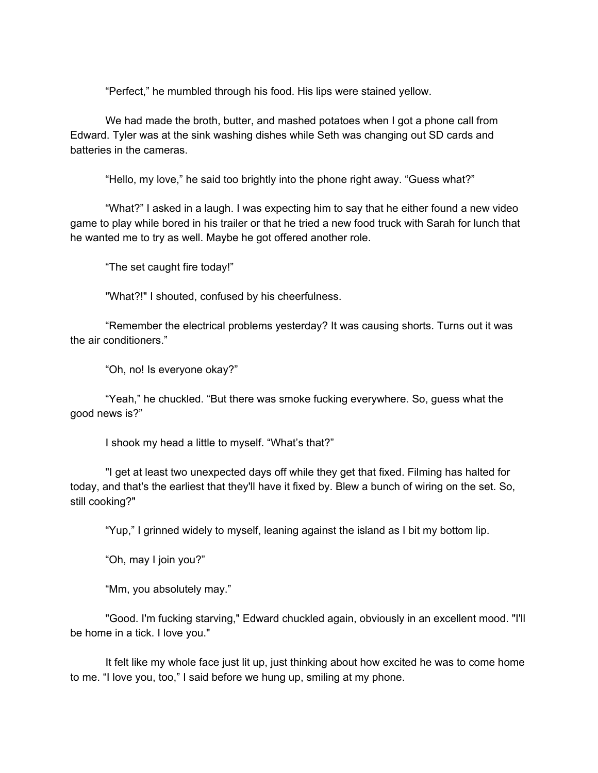"Perfect," he mumbled through his food. His lips were stained yellow.

We had made the broth, butter, and mashed potatoes when I got a phone call from Edward. Tyler was at the sink washing dishes while Seth was changing out SD cards and batteries in the cameras.

"Hello, my love," he said too brightly into the phone right away. "Guess what?"

"What?" I asked in a laugh. I was expecting him to say that he either found a new video game to play while bored in his trailer or that he tried a new food truck with Sarah for lunch that he wanted me to try as well. Maybe he got offered another role.

"The set caught fire today!"

"What?!" I shouted, confused by his cheerfulness.

"Remember the electrical problems yesterday? It was causing shorts. Turns out it was the air conditioners."

"Oh, no! Is everyone okay?"

"Yeah," he chuckled. "But there was smoke fucking everywhere. So, guess what the good news is?"

I shook my head a little to myself. "What's that?"

"I get at least two unexpected days off while they get that fixed. Filming has halted for today, and that's the earliest that they'll have it fixed by. Blew a bunch of wiring on the set. So, still cooking?"

"Yup," I grinned widely to myself, leaning against the island as I bit my bottom lip.

"Oh, may I join you?"

"Mm, you absolutely may."

"Good. I'm fucking starving," Edward chuckled again, obviously in an excellent mood. "I'll be home in a tick. I love you."

It felt like my whole face just lit up, just thinking about how excited he was to come home to me. "I love you, too," I said before we hung up, smiling at my phone.